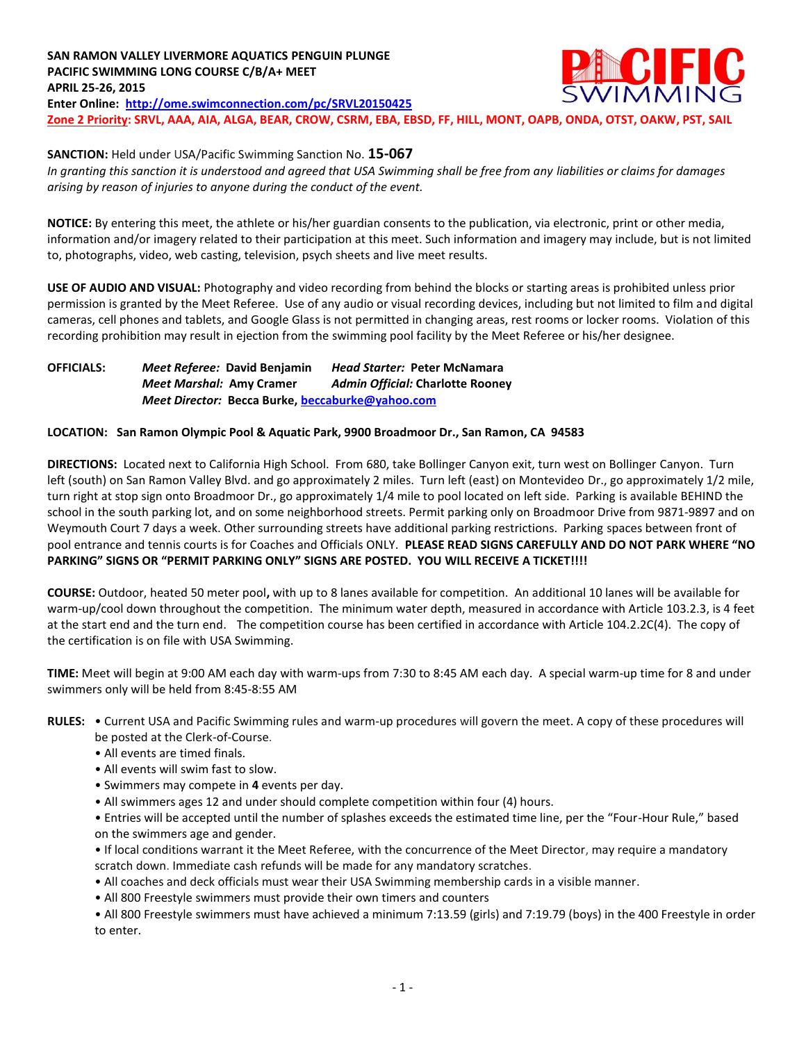**SAN RAMON VALLEY LIVERMORE AQUATICS PENGUIN PLUNGE** IC FIC **PACIFIC SWIMMING LONG COURSE C/B/A+ MEET APRIL 25-26, 2015 Enter Online: <http://ome.swimconnection.com/pc/SRVL20150425> Zone 2 Priority: SRVL, AAA, AIA, ALGA, BEAR, CROW, CSRM, EBA, EBSD, FF, HILL, MONT, OAPB, ONDA, OTST, OAKW, PST, SAIL** 

**SANCTION:** Held under USA/Pacific Swimming Sanction No. **15-067**

*In granting this sanction it is understood and agreed that USA Swimming shall be free from any liabilities or claims for damages arising by reason of injuries to anyone during the conduct of the event.*

**NOTICE:** By entering this meet, the athlete or his/her guardian consents to the publication, via electronic, print or other media, information and/or imagery related to their participation at this meet. Such information and imagery may include, but is not limited to, photographs, video, web casting, television, psych sheets and live meet results.

**USE OF AUDIO AND VISUAL:** Photography and video recording from behind the blocks or starting areas is prohibited unless prior permission is granted by the Meet Referee. Use of any audio or visual recording devices, including but not limited to film and digital cameras, cell phones and tablets, and Google Glass is not permitted in changing areas, rest rooms or locker rooms. Violation of this recording prohibition may result in ejection from the swimming pool facility by the Meet Referee or his/her designee.

**OFFICIALS:** *Meet Referee:* **David Benjamin** *Head Starter:* **Peter McNamara** *Meet Marshal:* **Amy Cramer** *Admin Official:* **Charlotte Rooney** *Meet Director:* **Becca Burke[, beccaburke@yahoo.com](mailto:beccaburke@yahoo.com)**

## **LOCATION: San Ramon Olympic Pool & Aquatic Park, 9900 Broadmoor Dr., San Ramon, CA 94583**

**DIRECTIONS:** Located next to California High School. From 680, take Bollinger Canyon exit, turn west on Bollinger Canyon. Turn left (south) on San Ramon Valley Blvd. and go approximately 2 miles. Turn left (east) on Montevideo Dr., go approximately 1/2 mile, turn right at stop sign onto Broadmoor Dr., go approximately 1/4 mile to pool located on left side. Parking is available BEHIND the school in the south parking lot, and on some neighborhood streets. Permit parking only on Broadmoor Drive from 9871-9897 and on Weymouth Court 7 days a week. Other surrounding streets have additional parking restrictions. Parking spaces between front of pool entrance and tennis courts is for Coaches and Officials ONLY. **PLEASE READ SIGNS CAREFULLY AND DO NOT PARK WHERE "NO PARKING" SIGNS OR "PERMIT PARKING ONLY" SIGNS ARE POSTED. YOU WILL RECEIVE A TICKET!!!!**

**COURSE:** Outdoor, heated 50 meter pool**,** with up to 8 lanes available for competition.An additional 10 lanes will be available for warm-up/cool down throughout the competition. The minimum water depth, measured in accordance with Article 103.2.3, is 4 feet at the start end and the turn end. The competition course has been certified in accordance with Article 104.2.2C(4). The copy of the certification is on file with USA Swimming.

**TIME:** Meet will begin at 9:00 AM each day with warm-ups from 7:30 to 8:45 AM each day. A special warm-up time for 8 and under swimmers only will be held from 8:45-8:55 AM

#### **RULES:** • Current USA and Pacific Swimming rules and warm-up procedures will govern the meet. A copy of these procedures will be posted at the Clerk-of-Course.

- All events are timed finals.
- 
- All events will swim fast to slow.
- Swimmers may compete in **4** events per day.
- All swimmers ages 12 and under should complete competition within four (4) hours.

• Entries will be accepted until the number of splashes exceeds the estimated time line, per the "Four-Hour Rule," based on the swimmers age and gender.

• If local conditions warrant it the Meet Referee, with the concurrence of the Meet Director, may require a mandatory scratch down. Immediate cash refunds will be made for any mandatory scratches.

• All coaches and deck officials must wear their USA Swimming membership cards in a visible manner.

• All 800 Freestyle swimmers must provide their own timers and counters

• All 800 Freestyle swimmers must have achieved a minimum 7:13.59 (girls) and 7:19.79 (boys) in the 400 Freestyle in order to enter.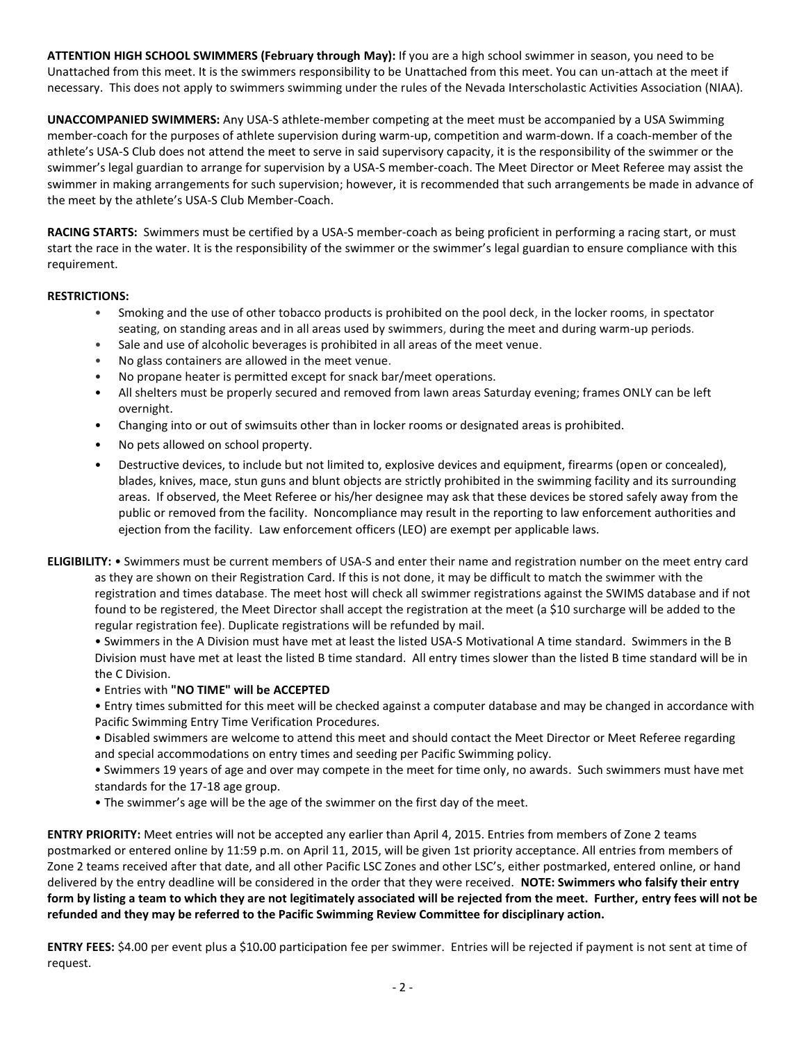**ATTENTION HIGH SCHOOL SWIMMERS (February through May):** If you are a high school swimmer in season, you need to be Unattached from this meet. It is the swimmers responsibility to be Unattached from this meet. You can un-attach at the meet if necessary. This does not apply to swimmers swimming under the rules of the Nevada Interscholastic Activities Association (NIAA).

**UNACCOMPANIED SWIMMERS:** Any USA-S athlete-member competing at the meet must be accompanied by a USA Swimming member-coach for the purposes of athlete supervision during warm-up, competition and warm-down. If a coach-member of the athlete's USA-S Club does not attend the meet to serve in said supervisory capacity, it is the responsibility of the swimmer or the swimmer's legal guardian to arrange for supervision by a USA-S member-coach. The Meet Director or Meet Referee may assist the swimmer in making arrangements for such supervision; however, it is recommended that such arrangements be made in advance of the meet by the athlete's USA-S Club Member-Coach.

**RACING STARTS:** Swimmers must be certified by a USA-S member-coach as being proficient in performing a racing start, or must start the race in the water. It is the responsibility of the swimmer or the swimmer's legal guardian to ensure compliance with this requirement.

# **RESTRICTIONS:**

- Smoking and the use of other tobacco products is prohibited on the pool deck, in the locker rooms, in spectator seating, on standing areas and in all areas used by swimmers, during the meet and during warm-up periods.
- Sale and use of alcoholic beverages is prohibited in all areas of the meet venue.
- No glass containers are allowed in the meet venue.
- No propane heater is permitted except for snack bar/meet operations.
- All shelters must be properly secured and removed from lawn areas Saturday evening; frames ONLY can be left overnight.
- Changing into or out of swimsuits other than in locker rooms or designated areas is prohibited.
- No pets allowed on school property.
- Destructive devices, to include but not limited to, explosive devices and equipment, firearms (open or concealed), blades, knives, mace, stun guns and blunt objects are strictly prohibited in the swimming facility and its surrounding areas. If observed, the Meet Referee or his/her designee may ask that these devices be stored safely away from the public or removed from the facility. Noncompliance may result in the reporting to law enforcement authorities and ejection from the facility. Law enforcement officers (LEO) are exempt per applicable laws.
- **ELIGIBILITY:** Swimmers must be current members of USA-S and enter their name and registration number on the meet entry card as they are shown on their Registration Card. If this is not done, it may be difficult to match the swimmer with the registration and times database. The meet host will check all swimmer registrations against the SWIMS database and if not found to be registered, the Meet Director shall accept the registration at the meet (a \$10 surcharge will be added to the regular registration fee). Duplicate registrations will be refunded by mail.

• Swimmers in the A Division must have met at least the listed USA-S Motivational A time standard. Swimmers in the B Division must have met at least the listed B time standard. All entry times slower than the listed B time standard will be in the C Division.

- Entries with **"NO TIME" will be ACCEPTED**
- Entry times submitted for this meet will be checked against a computer database and may be changed in accordance with Pacific Swimming Entry Time Verification Procedures.
- Disabled swimmers are welcome to attend this meet and should contact the Meet Director or Meet Referee regarding and special accommodations on entry times and seeding per Pacific Swimming policy.
- Swimmers 19 years of age and over may compete in the meet for time only, no awards. Such swimmers must have met standards for the 17-18 age group.
- The swimmer's age will be the age of the swimmer on the first day of the meet.

**ENTRY PRIORITY:** Meet entries will not be accepted any earlier than April 4, 2015. Entries from members of Zone 2 teams postmarked or entered online by 11:59 p.m. on April 11, 2015, will be given 1st priority acceptance. All entries from members of Zone 2 teams received after that date, and all other Pacific LSC Zones and other LSC's, either postmarked, entered online, or hand delivered by the entry deadline will be considered in the order that they were received. **NOTE: Swimmers who falsify their entry form by listing a team to which they are not legitimately associated will be rejected from the meet. Further, entry fees will not be refunded and they may be referred to the Pacific Swimming Review Committee for disciplinary action.**

**ENTRY FEES:** \$4.00 per event plus a \$10**.**00 participation fee per swimmer. Entries will be rejected if payment is not sent at time of request.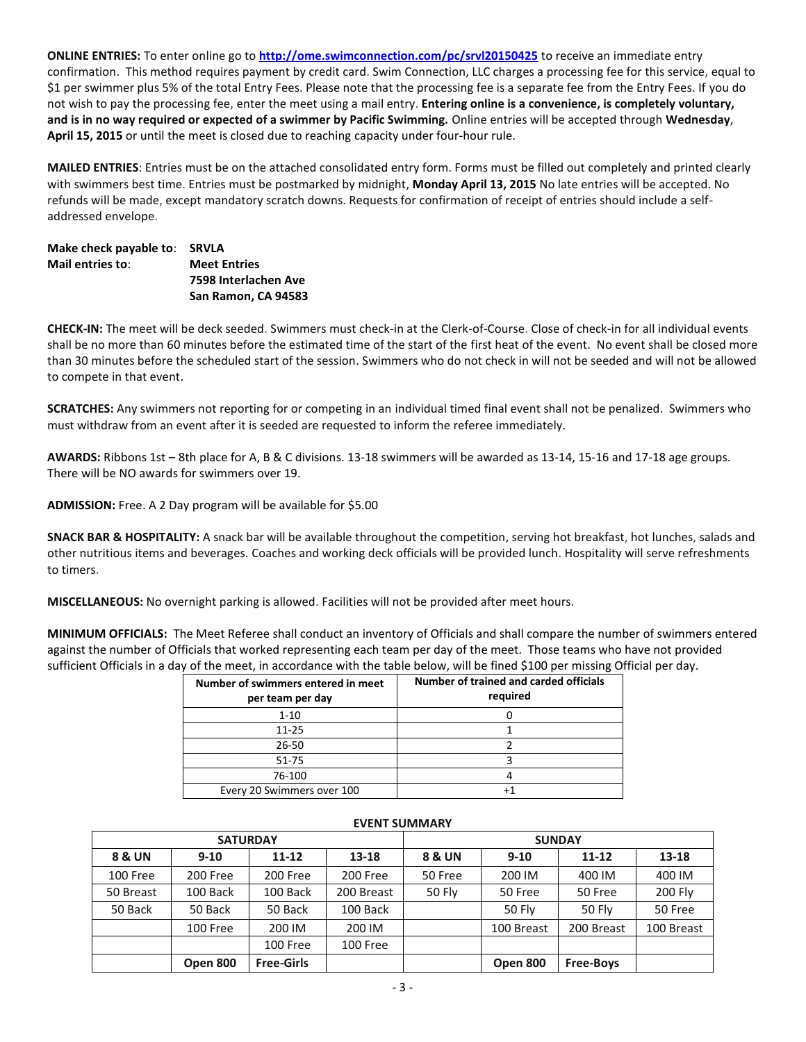**ONLINE ENTRIES:** To enter online go to **<http://ome.swimconnection.com/pc/srvl20150425>** to receive an immediate entry confirmation. This method requires payment by credit card. Swim Connection, LLC charges a processing fee for this service, equal to \$1 per swimmer plus 5% of the total Entry Fees. Please note that the processing fee is a separate fee from the Entry Fees. If you do not wish to pay the processing fee, enter the meet using a mail entry. **Entering online is a convenience, is completely voluntary, and is in no way required or expected of a swimmer by Pacific Swimming.** Online entries will be accepted through **Wednesday**, **April 15, 2015** or until the meet is closed due to reaching capacity under four-hour rule.

**MAILED ENTRIES**: Entries must be on the attached consolidated entry form. Forms must be filled out completely and printed clearly with swimmers best time. Entries must be postmarked by midnight, **Monday April 13, 2015** No late entries will be accepted. No refunds will be made, except mandatory scratch downs. Requests for confirmation of receipt of entries should include a selfaddressed envelope.

## **Make check payable to**: **SRVLA Mail entries to**: **Meet Entries 7598 Interlachen Ave San Ramon, CA 94583**

**CHECK-IN:** The meet will be deck seeded. Swimmers must check-in at the Clerk-of-Course. Close of check-in for all individual events shall be no more than 60 minutes before the estimated time of the start of the first heat of the event. No event shall be closed more than 30 minutes before the scheduled start of the session. Swimmers who do not check in will not be seeded and will not be allowed to compete in that event.

**SCRATCHES:** Any swimmers not reporting for or competing in an individual timed final event shall not be penalized. Swimmers who must withdraw from an event after it is seeded are requested to inform the referee immediately.

**AWARDS:** Ribbons 1st – 8th place for A, B & C divisions. 13-18 swimmers will be awarded as 13-14, 15-16 and 17-18 age groups. There will be NO awards for swimmers over 19.

**ADMISSION:** Free. A 2 Day program will be available for \$5.00

**SNACK BAR & HOSPITALITY:** A snack bar will be available throughout the competition, serving hot breakfast, hot lunches, salads and other nutritious items and beverages. Coaches and working deck officials will be provided lunch. Hospitality will serve refreshments to timers.

**MISCELLANEOUS:** No overnight parking is allowed. Facilities will not be provided after meet hours.

**MINIMUM OFFICIALS:** The Meet Referee shall conduct an inventory of Officials and shall compare the number of swimmers entered against the number of Officials that worked representing each team per day of the meet. Those teams who have not provided sufficient Officials in a day of the meet, in accordance with the table below, will be fined \$100 per missing Official per day.

| Number of swimmers entered in meet<br>per team per day | Number of trained and carded officials<br>required |
|--------------------------------------------------------|----------------------------------------------------|
| $1 - 10$                                               |                                                    |
| $11 - 25$                                              |                                                    |
| $26 - 50$                                              |                                                    |
| $51 - 75$                                              |                                                    |
| 76-100                                                 |                                                    |
| Every 20 Swimmers over 100                             |                                                    |

|           | <b>SATURDAY</b> |                   |            | <b>SUNDAY</b> |            |                  |                |  |  |  |
|-----------|-----------------|-------------------|------------|---------------|------------|------------------|----------------|--|--|--|
| 8 & UN    | $9 - 10$        | $11 - 12$         | $13-18$    | 8 & UN        | $9 - 10$   | $11 - 12$        | 13-18          |  |  |  |
| 100 Free  | 200 Free        | 200 Free          | 200 Free   | 50 Free       | 200 IM     | 400 IM           | 400 IM         |  |  |  |
| 50 Breast | 100 Back        | 100 Back          | 200 Breast | 50 Fly        | 50 Free    | 50 Free          | <b>200 Fly</b> |  |  |  |
| 50 Back   | 50 Back         | 50 Back           | 100 Back   |               | 50 Fly     | <b>50 Fly</b>    | 50 Free        |  |  |  |
|           | 100 Free        | 200 IM            | 200 IM     |               | 100 Breast | 200 Breast       | 100 Breast     |  |  |  |
|           |                 | 100 Free          | 100 Free   |               |            |                  |                |  |  |  |
|           | Open 800        | <b>Free-Girls</b> |            |               | Open 800   | <b>Free-Boys</b> |                |  |  |  |

# **EVENT SUMMARY**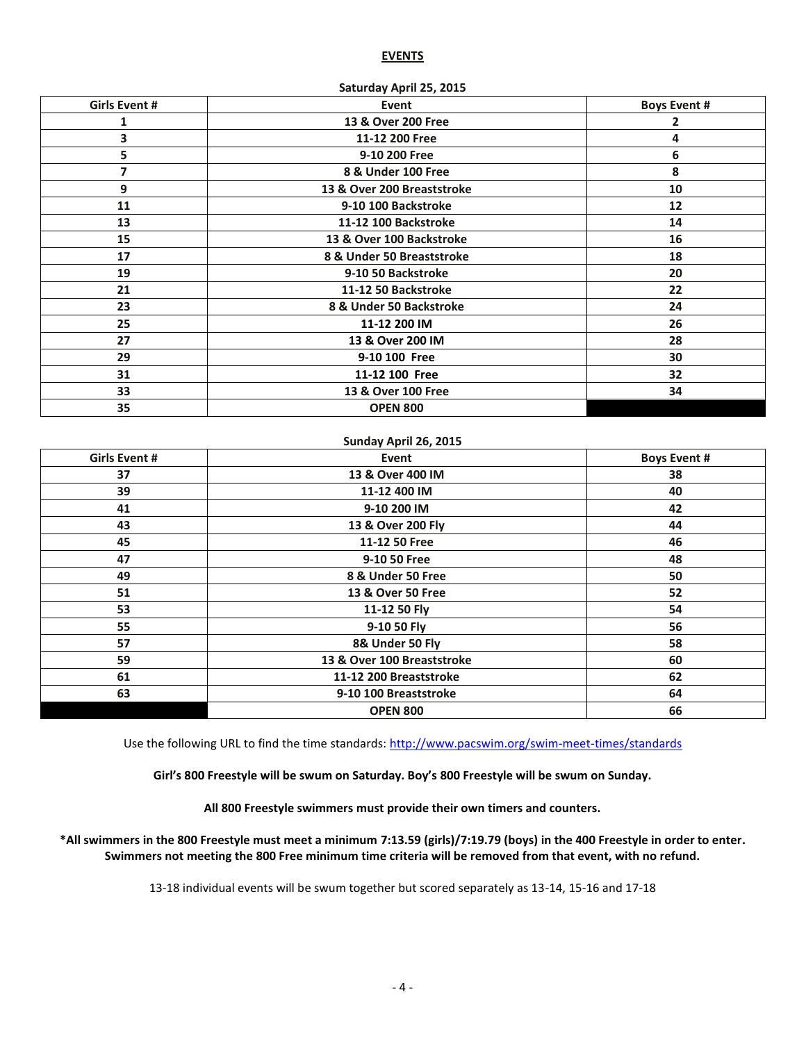#### **EVENTS**

| Girls Event # | Event                      | <b>Boys Event #</b> |
|---------------|----------------------------|---------------------|
| 1             | 13 & Over 200 Free         | 2                   |
| 3             | 11-12 200 Free             | 4                   |
| 5             | 9-10 200 Free              | 6                   |
| 7             | 8 & Under 100 Free         | 8                   |
| 9             | 13 & Over 200 Breaststroke | 10                  |
| 11            | 9-10 100 Backstroke        | 12                  |
| 13            | 11-12 100 Backstroke       | 14                  |
| 15            | 13 & Over 100 Backstroke   | 16                  |
| 17            | 8 & Under 50 Breaststroke  | 18                  |
| 19            | 9-10 50 Backstroke         | 20                  |
| 21            | 11-12 50 Backstroke        | 22                  |
| 23            | 8 & Under 50 Backstroke    | 24                  |
| 25            | 11-12 200 IM               | 26                  |
| 27            | 13 & Over 200 IM           | 28                  |
| 29            | 9-10 100 Free              | 30                  |
| 31            | 11-12 100 Free             | 32                  |
| 33            | 13 & Over 100 Free         | 34                  |
| 35            | <b>OPEN 800</b>            |                     |
|               |                            |                     |

#### **Saturday April 25, 2015**

#### **Sunday April 26, 2015**

| <b>Girls Event #</b> | Event                      | <b>Boys Event #</b> |
|----------------------|----------------------------|---------------------|
| 37                   | 13 & Over 400 IM           | 38                  |
| 39                   | 11-12 400 IM               | 40                  |
| 41                   | 9-10 200 IM                | 42                  |
| 43                   | 13 & Over 200 Fly          | 44                  |
| 45                   | 11-12 50 Free              | 46                  |
| 47                   | 9-10 50 Free               | 48                  |
| 49                   | 8 & Under 50 Free          | 50                  |
| 51                   | 13 & Over 50 Free          | 52                  |
| 53                   | 11-12 50 Fly               | 54                  |
| 55                   | 9-10 50 Fly                | 56                  |
| 57                   | 8& Under 50 Fly            | 58                  |
| 59                   | 13 & Over 100 Breaststroke | 60                  |
| 61                   | 11-12 200 Breaststroke     | 62                  |
| 63                   | 9-10 100 Breaststroke      | 64                  |
|                      | <b>OPEN 800</b>            | 66                  |

Use the following URL to find the time standards: <http://www.pacswim.org/swim-meet-times/standards>

**Girl's 800 Freestyle will be swum on Saturday. Boy's 800 Freestyle will be swum on Sunday.**

**All 800 Freestyle swimmers must provide their own timers and counters.** 

**\*All swimmers in the 800 Freestyle must meet a minimum 7:13.59 (girls)/7:19.79 (boys) in the 400 Freestyle in order to enter. Swimmers not meeting the 800 Free minimum time criteria will be removed from that event, with no refund.**

13-18 individual events will be swum together but scored separately as 13-14, 15-16 and 17-18